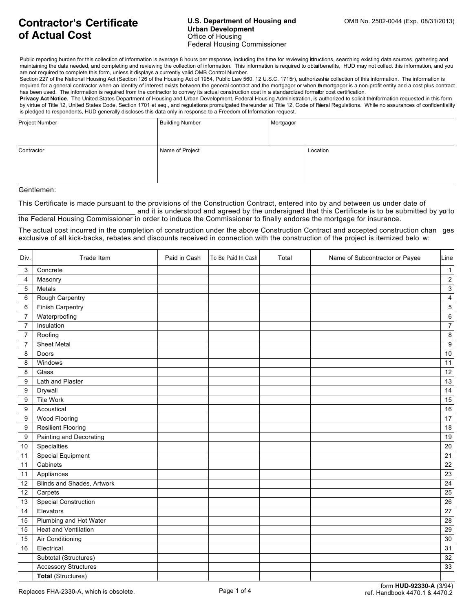## **U.S. Department of Housing and CMB No. 2502-0044 (Exp. 08/31/2013) Urban Development** Office of Housing Federal Housing Commissioner

Public reporting burden for this collection of information is average 8 hours per response, including the time for reviewing intructions, searching existing data sources, gathering and maintaining the data needed, and completing and reviewing the collection of information. This information is required to obtai benefits. HUD may not collect this information, and you are not required to complete this form, unless it displays a currently valid OMB Control Number.

Section 227 of the National Housing Act (Section 126 of the Housing Act of 1954, Public Law 560, 12 U.S.C. 1715r), authorizes te collection of this information. The information is required for a general contractor when an identity of interest exists between the general contract and the mortgagor or when the mortgagor is a non-profit entity and a cost plus contract has been used. The information is required from the contractor to convey its actual construction cost in a standardized formator cost certification.

Privacy Act Notice. The United States Department of Housing and Urban Development, Federal Housing Administration, is authorized to solicit the formation requested in this form by virtue of Title 12, United States Code, Section 1701 et seq., and regulations promulgated thereunder at Title 12, Code of Federal Regulations. While no assurances of confidentiality is pledged to respondents, HUD generally discloses this data only in response to a Freedom of Information request.

| Project Number | <b>Building Number</b> | Mortgagor |          |
|----------------|------------------------|-----------|----------|
|                |                        |           |          |
|                |                        |           |          |
| Contractor     | Name of Project        |           | Location |
|                |                        |           |          |
|                |                        |           |          |
|                |                        |           |          |
|                |                        |           |          |

Gentlemen:

This Certificate is made pursuant to the provisions of the Construction Contract, entered into by and between us under date of and it is understood and agreed by the undersigned that this Certificate is to be submitted by yo to

the Federal Housing Commissioner in order to induce the Commissioner to finally endorse the mortgage for insurance.

The actual cost incurred in the completion of construction under the above Construction Contract and accepted construction chan ges exclusive of all kick-backs, rebates and discounts received in connection with the construction of the project is itemized belo w:

| Div.             | Trade Item                  | Paid in Cash | To Be Paid In Cash | Total | Name of Subcontractor or Payee | Line                    |
|------------------|-----------------------------|--------------|--------------------|-------|--------------------------------|-------------------------|
| 3                | Concrete                    |              |                    |       |                                | $\overline{1}$          |
| 4                | Masonry                     |              |                    |       |                                | $\overline{c}$          |
| 5                | Metals                      |              |                    |       |                                | $\mathsf 3$             |
| 6                | Rough Carpentry             |              |                    |       |                                | $\overline{\mathbf{4}}$ |
| 6                | <b>Finish Carpentry</b>     |              |                    |       |                                | $\overline{5}$          |
| $\overline{7}$   | Waterproofing               |              |                    |       |                                | 6                       |
| $\overline{7}$   | Insulation                  |              |                    |       |                                | $\overline{7}$          |
| $\boldsymbol{7}$ | Roofing                     |              |                    |       |                                | $\bf 8$                 |
| $\overline{7}$   | <b>Sheet Metal</b>          |              |                    |       |                                | $\boldsymbol{9}$        |
| 8                | Doors                       |              |                    |       |                                | $10$                    |
| 8                | Windows                     |              |                    |       |                                | 11                      |
| 8                | Glass                       |              |                    |       |                                | 12                      |
| 9                | Lath and Plaster            |              |                    |       |                                | $13$                    |
| 9                | Drywall                     |              |                    |       |                                | 14                      |
| 9                | Tile Work                   |              |                    |       |                                | 15                      |
| 9                | Acoustical                  |              |                    |       |                                | $16\,$                  |
| 9                | Wood Flooring               |              |                    |       |                                | 17                      |
| $\boldsymbol{9}$ | <b>Resilient Flooring</b>   |              |                    |       |                                | $18$                    |
| $\boldsymbol{9}$ | Painting and Decorating     |              |                    |       |                                | 19                      |
| $10$             | Specialties                 |              |                    |       |                                | $20\,$                  |
| 11               | Special Equipment           |              |                    |       |                                | 21                      |
| 11               | Cabinets                    |              |                    |       |                                | 22                      |
| 11               | Appliances                  |              |                    |       |                                | 23                      |
| 12               | Blinds and Shades, Artwork  |              |                    |       |                                | 24                      |
| 12               | Carpets                     |              |                    |       |                                | 25                      |
| 13               | <b>Special Construction</b> |              |                    |       |                                | 26                      |
| 14               | Elevators                   |              |                    |       |                                | 27                      |
| 15               | Plumbing and Hot Water      |              |                    |       |                                | 28                      |
| 15               | Heat and Ventilation        |              |                    |       |                                | 29                      |
| 15               | Air Conditioning            |              |                    |       |                                | $30\,$                  |
| 16               | Electrical                  |              |                    |       |                                | 31                      |
|                  | Subtotal (Structures)       |              |                    |       |                                | 32                      |
|                  | <b>Accessory Structures</b> |              |                    |       |                                | 33                      |
|                  | <b>Total (Structures)</b>   |              |                    |       |                                |                         |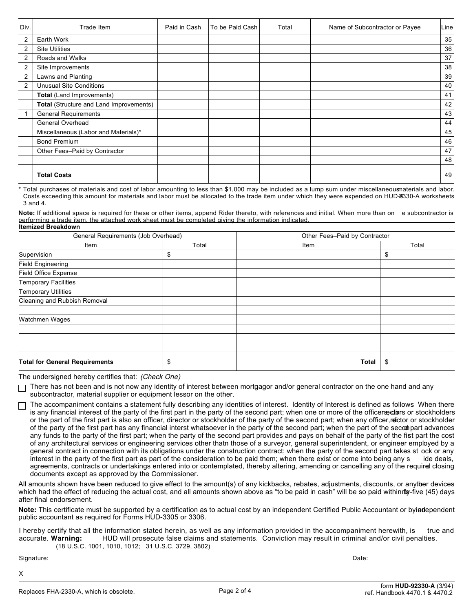| Div.           | Trade Item                              | Paid in Cash | To be Paid Cash | Total | Name of Subcontractor or Payee | Line |
|----------------|-----------------------------------------|--------------|-----------------|-------|--------------------------------|------|
| $\overline{2}$ | Earth Work                              |              |                 |       |                                | 35   |
| 2              | <b>Site Utilities</b>                   |              |                 |       |                                | 36   |
| 2              | Roads and Walks                         |              |                 |       |                                | 37   |
| $\overline{2}$ | Site Improvements                       |              |                 |       |                                | 38   |
| 2              | Lawns and Planting                      |              |                 |       |                                | 39   |
| 2              | <b>Unusual Site Conditions</b>          |              |                 |       |                                | 40   |
|                | Total (Land Improvements)               |              |                 |       |                                | 41   |
|                | Total (Structure and Land Improvements) |              |                 |       |                                | 42   |
|                | <b>General Requirements</b>             |              |                 |       |                                | 43   |
|                | General Overhead                        |              |                 |       |                                | 44   |
|                | Miscellaneous (Labor and Materials)*    |              |                 |       |                                | 45   |
|                | <b>Bond Premium</b>                     |              |                 |       |                                | 46   |
|                | Other Fees-Paid by Contractor           |              |                 |       |                                | 47   |
|                |                                         |              |                 |       |                                | 48   |
|                | <b>Total Costs</b>                      |              |                 |       |                                | 49   |

\* Total purchases of materials and cost of labor amounting to less than \$1,000 may be included as a lump sum under miscellaneousmaterials and labor. Costs exceeding this amount for materials and labor must be allocated to the trade item under which they were expended on HUD-92330-A worksheets 3 and 4.

**Itemized Breakdown Note:** If additional space is required for these or other items, append Rider thereto, with references and initial. When more than on e subcontractor is performing a trade item, the attached work sheet must be completed giving the information indicated.

| General Requirements (Job Overhead)   |       | Other Fees-Paid by Contractor |       |  |
|---------------------------------------|-------|-------------------------------|-------|--|
| Item                                  | Total | Item                          | Total |  |
| Supervision                           | \$    |                               | \$    |  |
| <b>Field Engineering</b>              |       |                               |       |  |
| Field Office Expense                  |       |                               |       |  |
| <b>Temporary Facilities</b>           |       |                               |       |  |
| <b>Temporary Utilities</b>            |       |                               |       |  |
| Cleaning and Rubbish Removal          |       |                               |       |  |
| Watchmen Wages                        |       |                               |       |  |
|                                       |       |                               |       |  |
|                                       |       |                               |       |  |
|                                       |       |                               |       |  |
| <b>Total for General Requirements</b> | \$    | Total                         | -\$   |  |

The undersigned hereby certifies that: (Check One)

 $\Box$  There has not been and is not now any identity of interest between mortgagor and/or general contractor on the one hand and any subcontractor, material supplier or equipment lessor on the other.

The accompaniment contains a statement fully describing any identities of interest. Identity of Interest is defined as follows: When there is any financial interest of the party of the first part in the party of the second part; when one or more of the officers directors or stockholders or the part of the first part is also an officer, director or stockholder of the party of the second part; when any officer, rector or stockholder of the party of the first part has any financial interst whatsoever in the party of the second part; when the part of the second part advances any funds to the party of the first part; when the party of the second part provides and pays on behalf of the party of the first part the cost of any architectural services or engineering services other thatn those of a surveyor, general superintendent, or engineer employed by a general contract in connection with its obligations under the construction contract; when the party of the second part takes st ock or any interest in the party of the first part as part of the consideration to be paid them; when there exist or come into being any s ide deals, agreements, contracts or undertakings entered into or contemplated, thereby altering, amending or cancelling any of the required closing documents except as approved by the Commissioner.

All amounts shown have been reduced to give effect to the amount(s) of any kickbacks, rebates, adjustments, discounts, or anytber devices which had the effect of reducing the actual cost, and all amounts shown above as "to be paid in cash" will be so paid within for five (45) days after final endorsement.

**Note:** This certificate must be supported by a certification as to actual cost by an independent Certified Public Accountant or by an independent public accountant as required for Forms HUD-3305 or 3306.

I hereby certify that all the information stated herein, as well as any information provided in the accompaniment herewith, is true and accurate. **Warning:** HUD will prosecute false claims and statements. Conviction may result in criminal and/or civil penalties. (18 U.S.C. 1001, 1010, 1012; 31 U.S.C. 3729, 3802)

Signature: Date:

X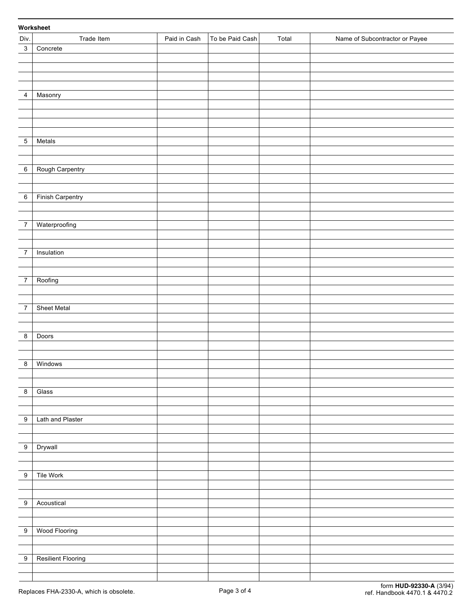## 3 Concrete 4 Masonry 5 Metals 6 | Rough Carpentry 6 | Finish Carpentry 7 Waterproofing 7 | Insulation 7 Roofing 7 | Sheet Metal 8 Doors 8 Windows 8 Glass 9 | Lath and Plaster 9 Drywall 9 | Tile Work 9 Acoustical 9 | Wood Flooring 9 | Resilient Flooring Div. Trade Item **Paid in Cash To be Paid Cash Total Name of Subcontractor or Payee Worksheet**